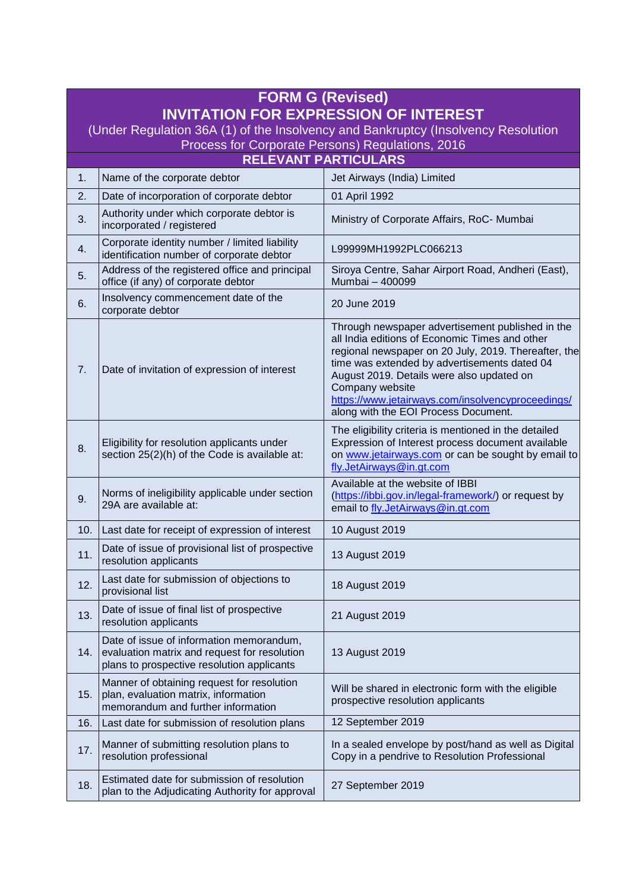| <b>FORM G (Revised)</b>                                                                                                               |                                                                                                                                        |                                                                                                                                                                                                                                                                                                                                                                         |  |
|---------------------------------------------------------------------------------------------------------------------------------------|----------------------------------------------------------------------------------------------------------------------------------------|-------------------------------------------------------------------------------------------------------------------------------------------------------------------------------------------------------------------------------------------------------------------------------------------------------------------------------------------------------------------------|--|
| <b>INVITATION FOR EXPRESSION OF INTEREST</b>                                                                                          |                                                                                                                                        |                                                                                                                                                                                                                                                                                                                                                                         |  |
| (Under Regulation 36A (1) of the Insolvency and Bankruptcy (Insolvency Resolution<br>Process for Corporate Persons) Regulations, 2016 |                                                                                                                                        |                                                                                                                                                                                                                                                                                                                                                                         |  |
| <b>RELEVANT PARTICULARS</b>                                                                                                           |                                                                                                                                        |                                                                                                                                                                                                                                                                                                                                                                         |  |
| 1.                                                                                                                                    | Name of the corporate debtor                                                                                                           | Jet Airways (India) Limited                                                                                                                                                                                                                                                                                                                                             |  |
| 2.                                                                                                                                    | Date of incorporation of corporate debtor                                                                                              | 01 April 1992                                                                                                                                                                                                                                                                                                                                                           |  |
| 3.                                                                                                                                    | Authority under which corporate debtor is<br>incorporated / registered                                                                 | Ministry of Corporate Affairs, RoC- Mumbai                                                                                                                                                                                                                                                                                                                              |  |
| 4.                                                                                                                                    | Corporate identity number / limited liability<br>identification number of corporate debtor                                             | L99999MH1992PLC066213                                                                                                                                                                                                                                                                                                                                                   |  |
| 5.                                                                                                                                    | Address of the registered office and principal<br>office (if any) of corporate debtor                                                  | Siroya Centre, Sahar Airport Road, Andheri (East),<br>Mumbai - 400099                                                                                                                                                                                                                                                                                                   |  |
| 6.                                                                                                                                    | Insolvency commencement date of the<br>corporate debtor                                                                                | 20 June 2019                                                                                                                                                                                                                                                                                                                                                            |  |
| 7.                                                                                                                                    | Date of invitation of expression of interest                                                                                           | Through newspaper advertisement published in the<br>all India editions of Economic Times and other<br>regional newspaper on 20 July, 2019. Thereafter, the<br>time was extended by advertisements dated 04<br>August 2019. Details were also updated on<br>Company website<br>https://www.jetairways.com/insolvencyproceedings/<br>along with the EOI Process Document. |  |
| 8.                                                                                                                                    | Eligibility for resolution applicants under<br>section 25(2)(h) of the Code is available at:                                           | The eligibility criteria is mentioned in the detailed<br>Expression of Interest process document available<br>on www.jetairways.com or can be sought by email to<br>fly.JetAirways@in.gt.com                                                                                                                                                                            |  |
| 9.                                                                                                                                    | Norms of ineligibility applicable under section<br>29A are available at:                                                               | Available at the website of IBBI<br>(https://ibbi.gov.in/legal-framework/) or request by<br>email to fly.JetAirways@in.gt.com                                                                                                                                                                                                                                           |  |
| 10.                                                                                                                                   | Last date for receipt of expression of interest                                                                                        | 10 August 2019                                                                                                                                                                                                                                                                                                                                                          |  |
| 11.                                                                                                                                   | Date of issue of provisional list of prospective<br>resolution applicants                                                              | 13 August 2019                                                                                                                                                                                                                                                                                                                                                          |  |
| 12.                                                                                                                                   | Last date for submission of objections to<br>provisional list                                                                          | 18 August 2019                                                                                                                                                                                                                                                                                                                                                          |  |
| 13.                                                                                                                                   | Date of issue of final list of prospective<br>resolution applicants                                                                    | 21 August 2019                                                                                                                                                                                                                                                                                                                                                          |  |
| 14.                                                                                                                                   | Date of issue of information memorandum,<br>evaluation matrix and request for resolution<br>plans to prospective resolution applicants | 13 August 2019                                                                                                                                                                                                                                                                                                                                                          |  |
| 15.                                                                                                                                   | Manner of obtaining request for resolution<br>plan, evaluation matrix, information<br>memorandum and further information               | Will be shared in electronic form with the eligible<br>prospective resolution applicants                                                                                                                                                                                                                                                                                |  |
| 16.                                                                                                                                   | Last date for submission of resolution plans                                                                                           | 12 September 2019                                                                                                                                                                                                                                                                                                                                                       |  |
| 17.                                                                                                                                   | Manner of submitting resolution plans to<br>resolution professional                                                                    | In a sealed envelope by post/hand as well as Digital<br>Copy in a pendrive to Resolution Professional                                                                                                                                                                                                                                                                   |  |
| 18.                                                                                                                                   | Estimated date for submission of resolution<br>plan to the Adjudicating Authority for approval                                         | 27 September 2019                                                                                                                                                                                                                                                                                                                                                       |  |